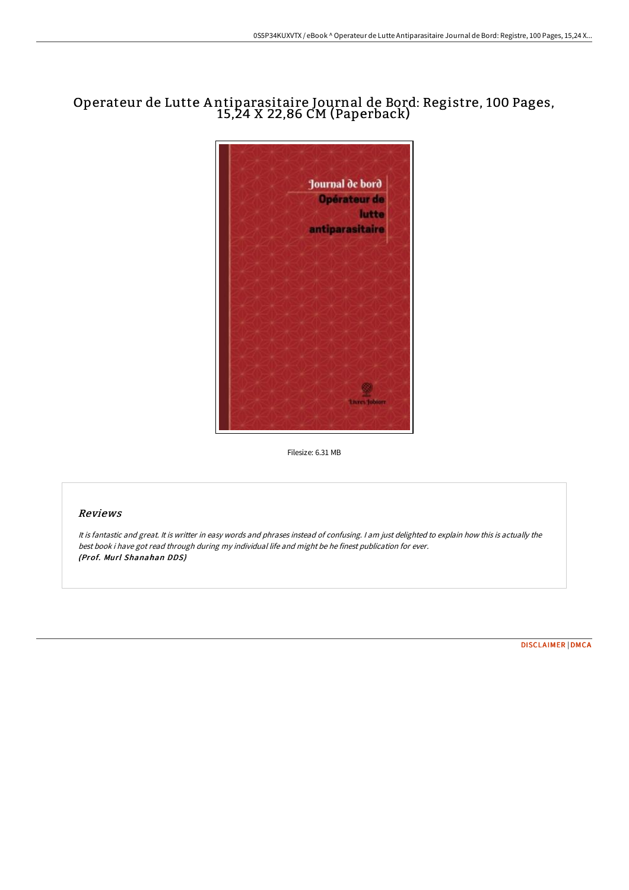## Operateur de Lutte A ntiparasitaire Journal de Bord: Registre, 100 Pages, 15,24 X 22,86 CM (Paperback)



Filesize: 6.31 MB

## Reviews

It is fantastic and great. It is writter in easy words and phrases instead of confusing. <sup>I</sup> am just delighted to explain how this is actually the best book i have got read through during my individual life and might be he finest publication for ever. (Prof. Murl Shanahan DDS)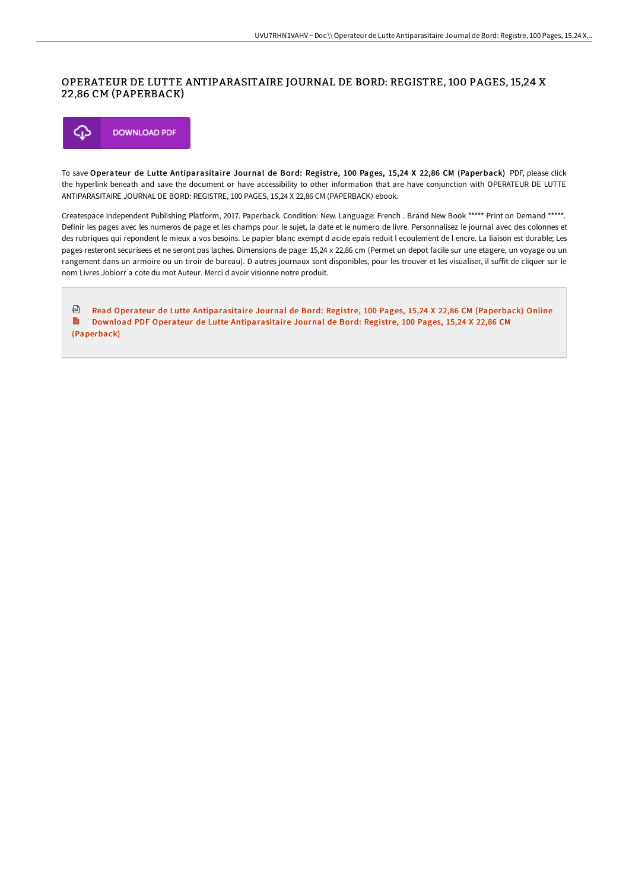## OPERATEUR DE LUTTE ANTIPARASITAIRE JOURNAL DE BORD: REGISTRE, 100 PAGES, 15,24 X 22,86 CM (PAPERBACK)



To save Operateur de Lutte Antiparasitaire Journal de Bord: Registre, 100 Pages, 15,24 X 22,86 CM (Paperback) PDF, please click the hyperlink beneath and save the document or have accessibility to other information that are have conjunction with OPERATEUR DE LUTTE ANTIPARASITAIRE JOURNAL DE BORD: REGISTRE, 100 PAGES, 15,24 X 22,86 CM (PAPERBACK) ebook.

Createspace Independent Publishing Platform, 2017. Paperback. Condition: New. Language: French . Brand New Book \*\*\*\*\* Print on Demand \*\*\*\*\*. Definir les pages avec les numeros de page et les champs pour le sujet, la date et le numero de livre. Personnalisez le journal avec des colonnes et des rubriques qui repondent le mieux a vos besoins. Le papier blanc exempt d acide epais reduit l ecoulement de l encre. La liaison est durable; Les pages resteront securisees et ne seront pas laches. Dimensions de page: 15,24 x 22,86 cm (Permet un depot facile sur une etagere, un voyage ou un rangement dans un armoire ou un tiroir de bureau). D autres journaux sont disponibles, pour les trouver et les visualiser, il suffit de cliquer sur le nom Livres Jobiorr a cote du mot Auteur. Merci d avoir visionne notre produit.

Read Operateur de Lutte [Antiparasitaire](http://techno-pub.tech/operateur-de-lutte-antiparasitaire-journal-de-bo.html) Journal de Bord: Registre, 100 Pages, 15,24 X 22,86 CM (Paperback) Online  $\blacktriangleright$ Download PDF Operateur de Lutte [Antiparasitaire](http://techno-pub.tech/operateur-de-lutte-antiparasitaire-journal-de-bo.html) Journal de Bord: Registre, 100 Pages, 15,24 X 22,86 CM (Paperback)